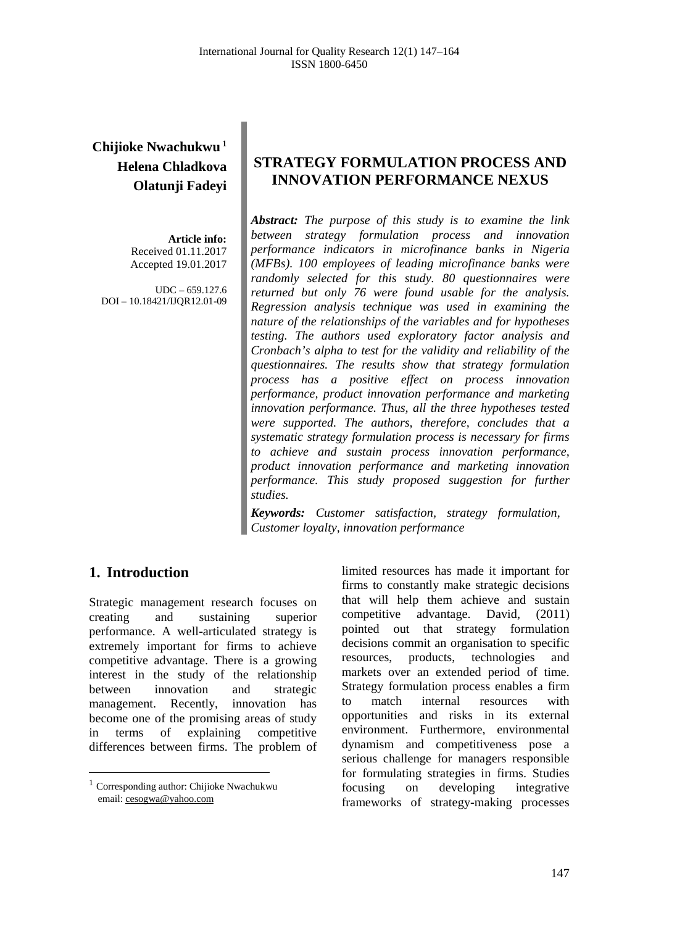# **Chijioke Nwachukwu <sup>1</sup> Helena Chladkova Olatunji Fadeyi**

**Article info:** Received 01.11.2017 Accepted 19.01.2017

UDC – 659.127.6 DOI – 10.18421/IJQR12.01-09

# **STRATEGY FORMULATION PROCESS AND INNOVATION PERFORMANCE NEXUS**

*Abstract: The purpose of this study is to examine the link between strategy formulation process and innovation performance indicators in microfinance banks in Nigeria (MFBs). 100 employees of leading microfinance banks were randomly selected for this study. 80 questionnaires were returned but only 76 were found usable for the analysis. Regression analysis technique was used in examining the nature of the relationships of the variables and for hypotheses testing. The authors used exploratory factor analysis and Cronbach's alpha to test for the validity and reliability of the questionnaires. The results show that strategy formulation process has a positive effect on process innovation performance, product innovation performance and marketing innovation performance. Thus, all the three hypotheses tested were supported. The authors, therefore, concludes that a systematic strategy formulation process is necessary for firms to achieve and sustain process innovation performance, product innovation performance and marketing innovation performance. This study proposed suggestion for further studies.*

*Keywords: Customer satisfaction, strategy formulation, Customer loyalty, innovation performance*

# **1. Introduction[1](#page-0-0)**

Strategic management research focuses on creating and sustaining superior performance. A well-articulated strategy is extremely important for firms to achieve competitive advantage. There is a growing interest in the study of the relationship between innovation and strategic management. Recently, innovation has become one of the promising areas of study in terms of explaining competitive differences between firms. The problem of limited resources has made it important for firms to constantly make strategic decisions that will help them achieve and sustain competitive advantage. David, (2011) pointed out that strategy formulation decisions commit an organisation to specific resources, products, technologies and markets over an extended period of time. Strategy formulation process enables a firm to match internal resources with opportunities and risks in its external environment. Furthermore, environmental dynamism and competitiveness pose a serious challenge for managers responsible for formulating strategies in firms. Studies focusing on developing integrative frameworks of strategy-making processes

<span id="page-0-0"></span> $^{\rm 1}$  Corresponding author: Chijioke Nwachukwu email[: cesogwa@yahoo.com](mailto:xesogwan@node.mendelu.cz)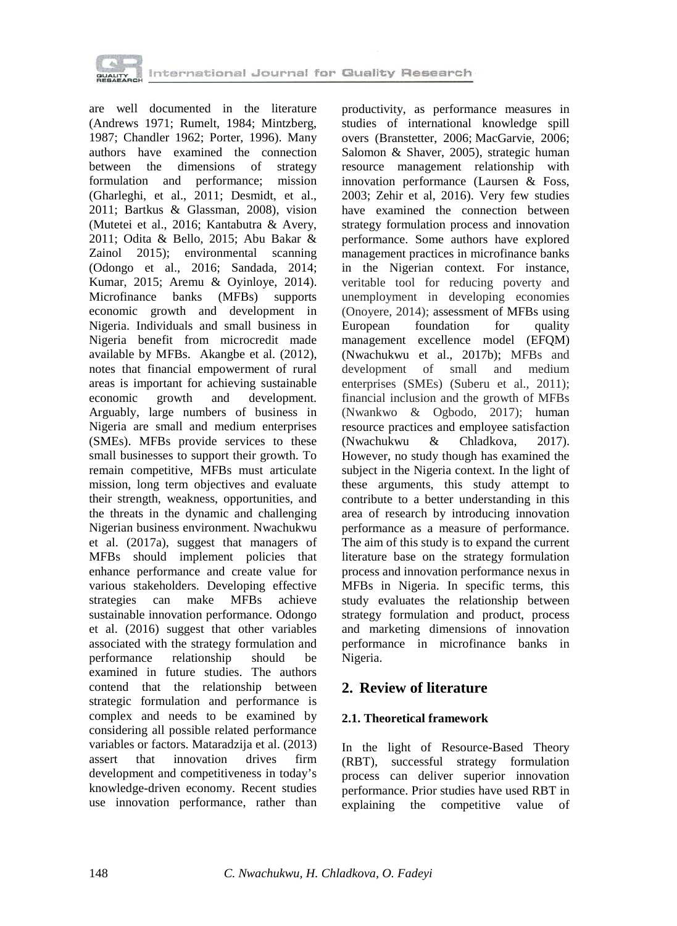

are well documented in the literature (Andrews 1971; Rumelt, 1984; Mintzberg, 1987; Chandler 1962; Porter, 1996). Many authors have examined the connection between the dimensions of strategy formulation and performance; mission (Gharleghi, et al., 2011; Desmidt, et al., 2011; Bartkus & Glassman, 2008), vision (Mutetei et al., 2016; Kantabutra & Avery, 2011; Odita & Bello, 2015; Abu Bakar & Zainol 2015); environmental scanning (Odongo et al., 2016; Sandada, 2014; Kumar, 2015; Aremu & Oyinloye, 2014). Microfinance banks (MFBs) supports economic growth and development in Nigeria. Individuals and small business in Nigeria benefit from microcredit made available by MFBs. Akangbe et al. (2012), notes that financial empowerment of rural areas is important for achieving sustainable<br>economic growth and development. economic growth and development. Arguably, large numbers of business in Nigeria are small and medium enterprises (SMEs). MFBs provide services to these small businesses to support their growth. To remain competitive, MFBs must articulate mission, long term objectives and evaluate their strength, weakness, opportunities, and the threats in the dynamic and challenging Nigerian business environment. Nwachukwu et al. (2017a), suggest that managers of MFBs should implement policies that enhance performance and create value for various stakeholders. Developing effective strategies can make MFBs achieve sustainable innovation performance. Odongo et al. (2016) suggest that other variables associated with the strategy formulation and performance relationship should be examined in future studies. The authors contend that the relationship between strategic formulation and performance is complex and needs to be examined by considering all possible related performance variables or factors. Mataradzija et al. (2013) assert that innovation drives firm development and competitiveness in today's knowledge-driven economy. Recent studies use innovation performance, rather than productivity, as performance measures in studies of international knowledge spill overs (Branstetter, 2006; MacGarvie, 2006; Salomon & Shaver, 2005), strategic human resource management relationship with innovation performance (Laursen & Foss, 2003; Zehir et al, 2016). Very few studies have examined the connection between strategy formulation process and innovation performance. Some authors have explored management practices in microfinance banks in the Nigerian context. For instance, veritable tool for reducing poverty and unemployment in developing economies (Onoyere, 2014); assessment of MFBs using<br>European foundation for quality foundation for quality management excellence model (EFQM) (Nwachukwu et al., 2017b); MFBs and development of small and medium of small and medium enterprises (SMEs) (Suberu et al., 2011); financial inclusion and the growth of MFBs (Nwankwo & Ogbodo, 2017); human resource practices and employee satisfaction<br>(Nwachukwu & Chladkova, 2017). (Nwachukwu & Chladkova, 2017). However, no study though has examined the subject in the Nigeria context. In the light of these arguments, this study attempt to contribute to a better understanding in this area of research by introducing innovation performance as a measure of performance. The aim of this study is to expand the current literature base on the strategy formulation process and innovation performance nexus in MFBs in Nigeria. In specific terms, this study evaluates the relationship between strategy formulation and product, process and marketing dimensions of innovation performance in microfinance banks in Nigeria.

# **2. Review of literature**

## **2.1. Theoretical framework**

In the light of Resource-Based Theory (RBT), successful strategy formulation process can deliver superior innovation performance. Prior studies have used RBT in explaining the competitive value of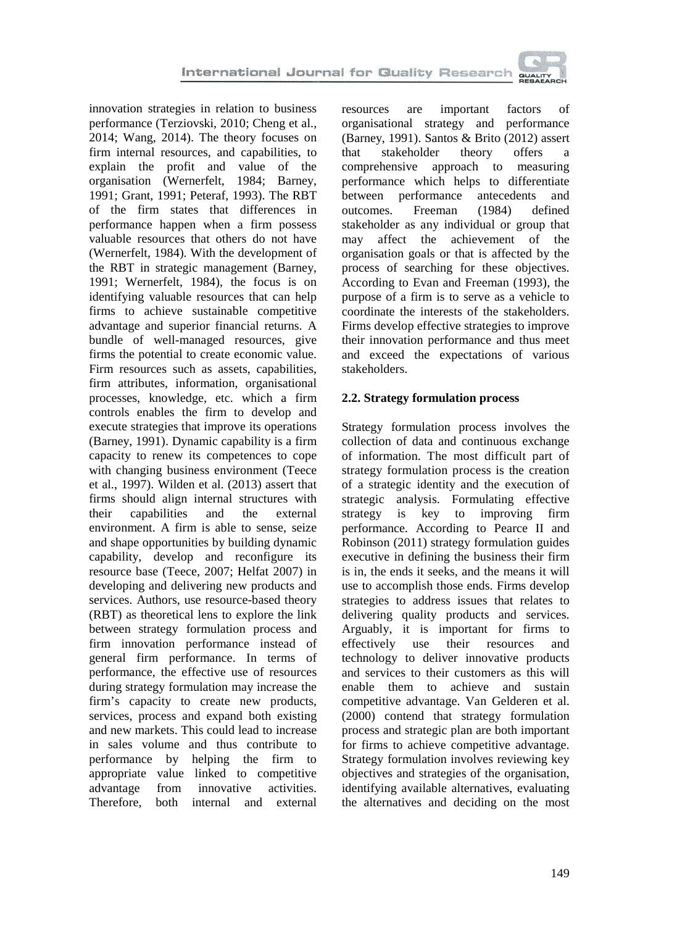innovation strategies in relation to business performance (Terziovski, 2010; Cheng et al., 2014; Wang, 2014). The theory focuses on firm internal resources, and capabilities, to explain the profit and value of the organisation (Wernerfelt, 1984; Barney, 1991; Grant, 1991; Peteraf, 1993). The RBT of the firm states that differences in performance happen when a firm possess valuable resources that others do not have (Wernerfelt, 1984). With the development of the RBT in strategic management (Barney, 1991; Wernerfelt, 1984), the focus is on identifying valuable resources that can help firms to achieve sustainable competitive advantage and superior financial returns. A bundle of well-managed resources, give firms the potential to create economic value. Firm resources such as assets, capabilities, firm attributes, information, organisational processes, knowledge, etc. which a firm controls enables the firm to develop and execute strategies that improve its operations (Barney, 1991). Dynamic capability is a firm capacity to renew its competences to cope with changing business environment (Teece et al., 1997). Wilden et al. (2013) assert that firms should align internal structures with their capabilities and the external environment. A firm is able to sense, seize and shape opportunities by building dynamic capability, develop and reconfigure its resource base (Teece, 2007; Helfat 2007) in developing and delivering new products and services. Authors, use resource-based theory (RBT) as theoretical lens to explore the link between strategy formulation process and firm innovation performance instead of general firm performance. In terms of performance, the effective use of resources during strategy formulation may increase the firm's capacity to create new products, services, process and expand both existing and new markets. This could lead to increase in sales volume and thus contribute to performance by helping the firm to appropriate value linked to competitive advantage from innovative activities. Therefore, both internal and external

resources are important factors of organisational strategy and performance (Barney, 1991). Santos & Brito (2012) assert that stakeholder theory offers a comprehensive approach to measuring performance which helps to differentiate between performance antecedents and<br>outcomes. Freeman (1984) defined outcomes. Freeman  $(1984)$ stakeholder as any individual or group that may affect the achievement of the organisation goals or that is affected by the process of searching for these objectives. According to Evan and Freeman (1993), the purpose of a firm is to serve as a vehicle to coordinate the interests of the stakeholders. Firms develop effective strategies to improve their innovation performance and thus meet and exceed the expectations of various stakeholders.

### **2.2. Strategy formulation process**

Strategy formulation process involves the collection of data and continuous exchange of information. The most difficult part of strategy formulation process is the creation of a strategic identity and the execution of strategic analysis. Formulating effective strategy is key to improving firm performance. According to Pearce II and Robinson (2011) strategy formulation guides executive in defining the business their firm is in, the ends it seeks, and the means it will use to accomplish those ends. Firms develop strategies to address issues that relates to delivering quality products and services. Arguably, it is important for firms to effectively use their resources and technology to deliver innovative products and services to their customers as this will enable them to achieve and sustain competitive advantage. Van Gelderen et al. (2000) contend that strategy formulation process and strategic plan are both important for firms to achieve competitive advantage. Strategy formulation involves reviewing key objectives and strategies of the organisation, identifying available alternatives, evaluating the alternatives and deciding on the most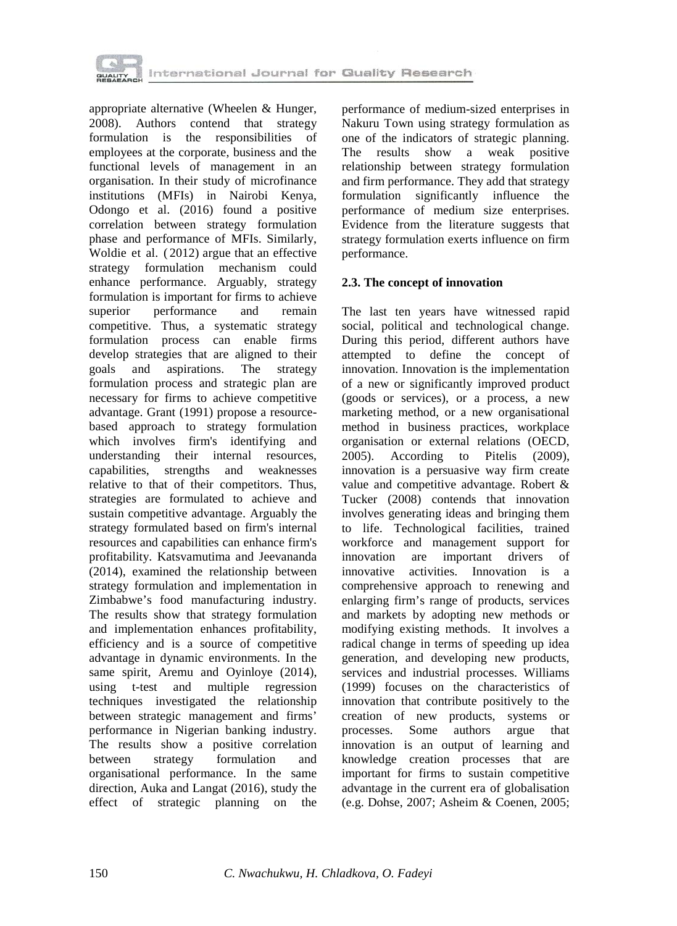

appropriate alternative (Wheelen & Hunger, 2008). Authors contend that strategy formulation is the responsibilities of employees at the corporate, business and the functional levels of management in an organisation. In their study of microfinance institutions (MFIs) in Nairobi Kenya, Odongo et al. (2016) found a positive correlation between strategy formulation phase and performance of MFIs. Similarly, Woldie et al. ( 2012) argue that an effective strategy formulation mechanism could enhance performance. Arguably, strategy formulation is important for firms to achieve<br>superior performance and remain performance and remain competitive. Thus, a systematic strategy formulation process can enable firms develop strategies that are aligned to their<br>goals and aspirations. The strategy goals and aspirations. The strategy formulation process and strategic plan are necessary for firms to achieve competitive advantage. Grant (1991) propose a resourcebased approach to strategy formulation which involves firm's identifying and understanding their internal resources, capabilities, strengths and weaknesses relative to that of their competitors. Thus, strategies are formulated to achieve and sustain competitive advantage. Arguably the strategy formulated based on firm's internal resources and capabilities can enhance firm's profitability. Katsvamutima and Jeevananda (2014), examined the relationship between strategy formulation and implementation in Zimbabwe's food manufacturing industry. The results show that strategy formulation and implementation enhances profitability, efficiency and is a source of competitive advantage in dynamic environments. In the same spirit, Aremu and Oyinloye (2014), using t-test and multiple regression techniques investigated the relationship between strategic management and firms' performance in Nigerian banking industry. The results show a positive correlation between strategy formulation and organisational performance. In the same direction, Auka and Langat (2016), study the effect of strategic planning on the performance of medium-sized enterprises in Nakuru Town using strategy formulation as one of the indicators of strategic planning. The results show a weak positive relationship between strategy formulation and firm performance. They add that strategy formulation significantly influence the performance of medium size enterprises. Evidence from the literature suggests that strategy formulation exerts influence on firm performance.

## **2.3. The concept of innovation**

The last ten years have witnessed rapid social, political and technological change. During this period, different authors have attempted to define the concept of innovation. Innovation is the implementation of a new or significantly improved product (goods or services), or a process, a new marketing method, or a new organisational method in business practices, workplace organisation or external relations (OECD, 2005). According to Pitelis (2009), innovation is a persuasive way firm create value and competitive advantage. Robert & Tucker (2008) contends that innovation involves generating ideas and bringing them to life. Technological facilities, trained workforce and management support for innovation are important drivers of innovative activities. Innovation is a comprehensive approach to renewing and enlarging firm's range of products, services and markets by adopting new methods or modifying existing methods. It involves a radical change in terms of speeding up idea generation, and developing new products, services and industrial processes. Williams (1999) focuses on the characteristics of innovation that contribute positively to the creation of new products, systems or processes. Some authors argue that innovation is an output of learning and knowledge creation processes that are important for firms to sustain competitive advantage in the current era of globalisation (e.g. Dohse, 2007; Asheim & Coenen, 2005;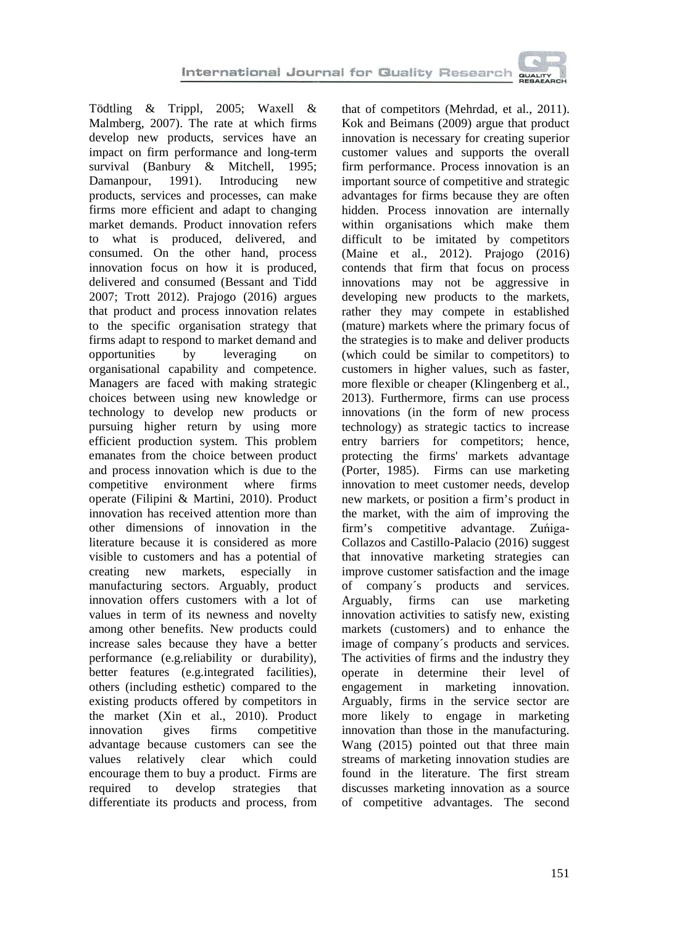Tödtling & Trippl, 2005; Waxell & Malmberg, 2007). The rate at which firms develop new products, services have an impact on firm performance and long-term survival (Banbury & Mitchell, 1995;<br>Damanpour, 1991). Introducing new Damanpour, 1991). Introducing new products, services and processes, can make firms more efficient and adapt to changing market demands. Product innovation refers to what is produced, delivered, and consumed. On the other hand, process innovation focus on how it is produced, delivered and consumed (Bessant and Tidd 2007; Trott 2012). Prajogo (2016) argues that product and process innovation relates to the specific organisation strategy that firms adapt to respond to market demand and opportunities by leveraging on organisational capability and competence. Managers are faced with making strategic choices between using new knowledge or technology to develop new products or pursuing higher return by using more efficient production system. This problem emanates from the choice between product and process innovation which is due to the competitive environment where firms operate (Filipini & Martini, 2010). Product innovation has received attention more than other dimensions of innovation in the literature because it is considered as more visible to customers and has a potential of creating new markets, especially in manufacturing sectors. Arguably, product innovation offers customers with a lot of values in term of its newness and novelty among other benefits. New products could increase sales because they have a better performance (e.g.reliability or durability), better features (e.g.integrated facilities), others (including esthetic) compared to the existing products offered by competitors in the market (Xin et al., 2010). Product innovation gives firms competitive advantage because customers can see the values relatively clear which could encourage them to buy a product. Firms are required to develop strategies that differentiate its products and process, from that of competitors (Mehrdad, et al., 2011). Kok and Beimans (2009) argue that product innovation is necessary for creating superior customer values and supports the overall firm performance. Process innovation is an important source of competitive and strategic advantages for firms because they are often hidden. Process innovation are internally within organisations which make them difficult to be imitated by competitors (Maine et al., 2012). Prajogo (2016) contends that firm that focus on process innovations may not be aggressive in developing new products to the markets, rather they may compete in established (mature) markets where the primary focus of the strategies is to make and deliver products (which could be similar to competitors) to customers in higher values, such as faster, more flexible or cheaper (Klingenberg et al., 2013). Furthermore, firms can use process innovations (in the form of new process technology) as strategic tactics to increase entry barriers for competitors; hence, protecting the firms' markets advantage (Porter, 1985). Firms can use marketing innovation to meet customer needs, develop new markets, or position a firm's product in the market, with the aim of improving the firm's competitive advantage. Zuńiga-Collazos and Castillo-Palacio (2016) suggest that innovative marketing strategies can improve customer satisfaction and the image of company´s products and services. Arguably, firms can use marketing innovation activities to satisfy new, existing markets (customers) and to enhance the image of company´s products and services. The activities of firms and the industry they operate in determine their level of engagement in marketing innovation. Arguably, firms in the service sector are more likely to engage in marketing innovation than those in the manufacturing. Wang (2015) pointed out that three main streams of marketing innovation studies are found in the literature. The first stream discusses marketing innovation as a source of competitive advantages. The second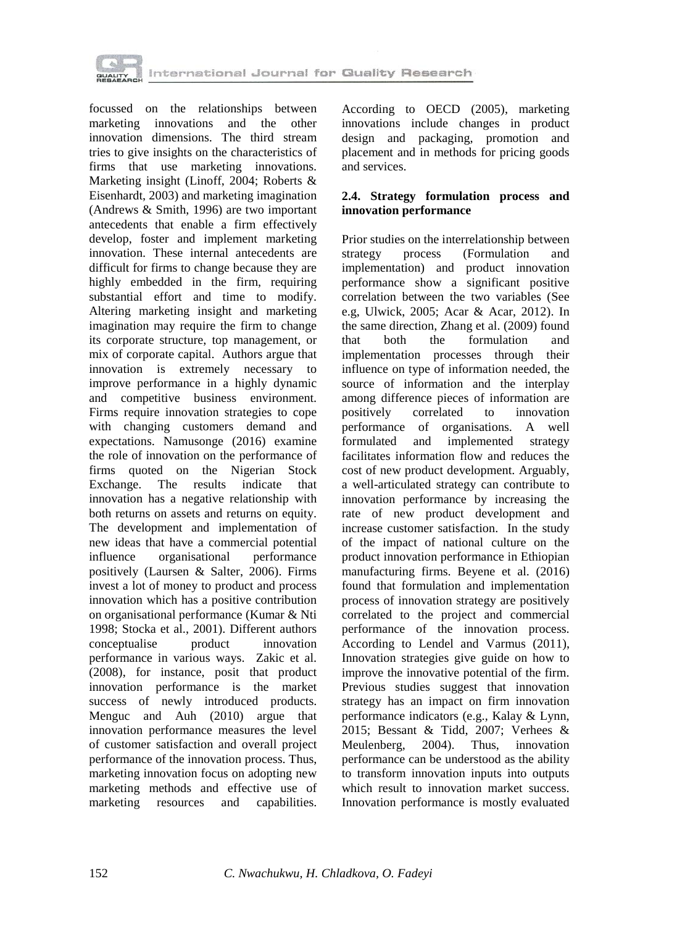

focussed on the relationships between marketing innovations and the other innovation dimensions. The third stream tries to give insights on the characteristics of firms that use marketing innovations. Marketing insight (Linoff, 2004; Roberts & Eisenhardt, 2003) and marketing imagination (Andrews & Smith, 1996) are two important antecedents that enable a firm effectively develop, foster and implement marketing innovation. These internal antecedents are difficult for firms to change because they are highly embedded in the firm, requiring substantial effort and time to modify. Altering marketing insight and marketing imagination may require the firm to change its corporate structure, top management, or mix of corporate capital. Authors argue that innovation is extremely necessary to improve performance in a highly dynamic and competitive business environment. Firms require innovation strategies to cope with changing customers demand and expectations. Namusonge (2016) examine the role of innovation on the performance of firms quoted on the Nigerian Stock Exchange. The results indicate that innovation has a negative relationship with both returns on assets and returns on equity. The development and implementation of new ideas that have a commercial potential influence organisational performance positively (Laursen & Salter, 2006). Firms invest a lot of money to product and process innovation which has a positive contribution on organisational performance (Kumar & Nti 1998; Stocka et al., 2001). Different authors conceptualise product innovation performance in various ways. Zakic et al. (2008), for instance, posit that product innovation performance is the market success of newly introduced products. Menguc and Auh (2010) argue that innovation performance measures the level of customer satisfaction and overall project performance of the innovation process. Thus, marketing innovation focus on adopting new marketing methods and effective use of marketing resources and capabilities. According to OECD (2005), marketing innovations include changes in product design and packaging, promotion and placement and in methods for pricing goods and services.

## **2.4. Strategy formulation process and innovation performance**

Prior studies on the interrelationship between<br>strategy process (Formulation and (Formulation implementation) and product innovation performance show a significant positive correlation between the two variables (See e.g, Ulwick, 2005; Acar & Acar, 2012). In the same direction, Zhang et al. (2009) found<br>that both the formulation and formulation implementation processes through their influence on type of information needed, the source of information and the interplay among difference pieces of information are<br>positively correlated to innovation positively correlated performance of organisations. A well formulated and implemented strategy facilitates information flow and reduces the cost of new product development. Arguably, a well-articulated strategy can contribute to innovation performance by increasing the rate of new product development and increase customer satisfaction. In the study of the impact of national culture on the product innovation performance in Ethiopian manufacturing firms. Beyene et al. (2016) found that formulation and implementation process of innovation strategy are positively correlated to the project and commercial performance of the innovation process. According to Lendel and Varmus (2011), Innovation strategies give guide on how to improve the innovative potential of the firm. Previous studies suggest that innovation strategy has an impact on firm innovation performance indicators (e.g., Kalay & Lynn, 2015; Bessant & Tidd, 2007; Verhees & Meulenberg. 2004). Thus, innovation Meulenberg, 2004). Thus, innovation performance can be understood as the ability to transform innovation inputs into outputs which result to innovation market success. Innovation performance is mostly evaluated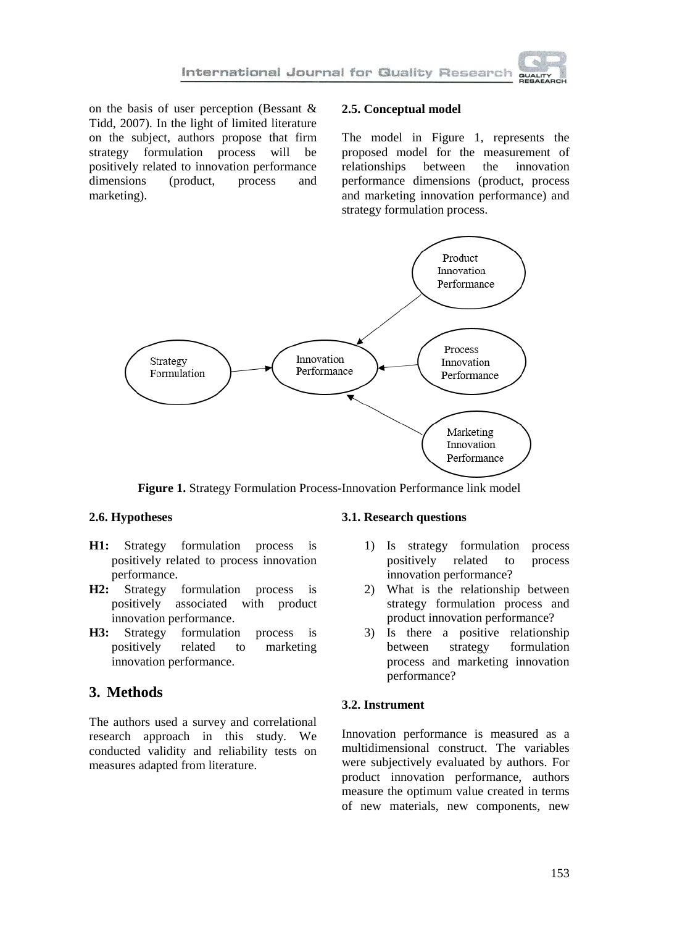on the basis of user perception (Bessant & Tidd, 2007). In the light of limited literature on the subject, authors propose that firm strategy formulation process will be positively related to innovation performance<br>dimensions (product, process and dimensions (product, process and marketing).

### **2.5. Conceptual model**

The model in Figure 1, represents the proposed model for the measurement of relationships between the innovation relationships performance dimensions (product, process and marketing innovation performance) and strategy formulation process.



**Figure 1.** Strategy Formulation Process-Innovation Performance link model

### **2.6. Hypotheses**

- **H1:** Strategy formulation process is positively related to process innovation performance.
- **H2:** Strategy formulation process is positively associated with product innovation performance.
- **H3:** Strategy formulation process is positively related to marketing innovation performance.

# **3. Methods**

The authors used a survey and correlational research approach in this study. We conducted validity and reliability tests on measures adapted from literature.

### **3.1. Research questions**

- 1) Is strategy formulation process positively related to process innovation performance?
- 2) What is the relationship between strategy formulation process and product innovation performance?
- 3) Is there a positive relationship between strategy formulation process and marketing innovation performance?

## **3.2. Instrument**

Innovation performance is measured as a multidimensional construct. The variables were subjectively evaluated by authors. For product innovation performance, authors measure the optimum value created in terms of new materials, new components, new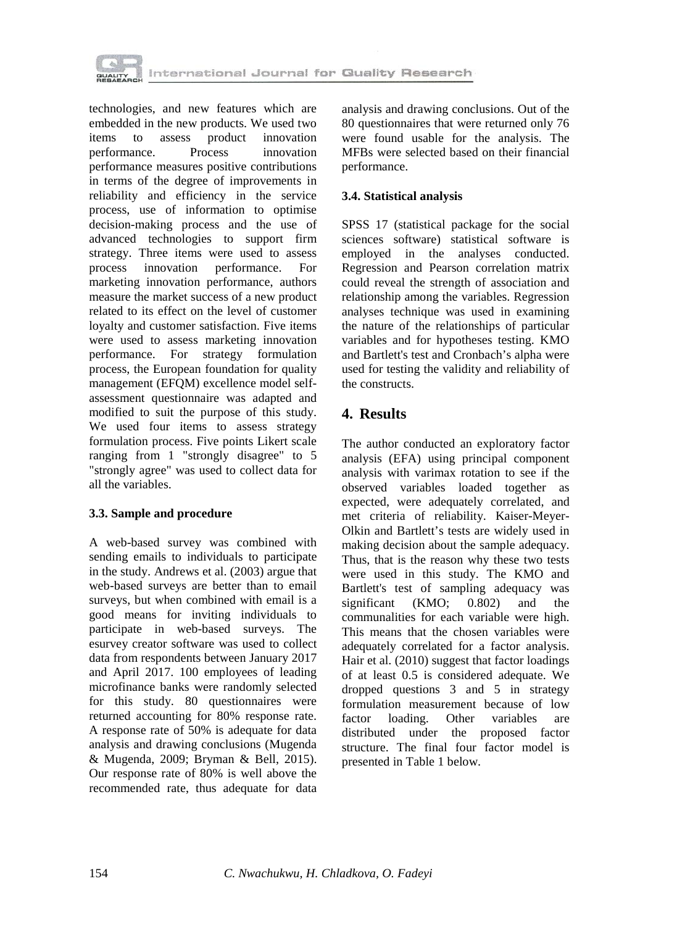

technologies, and new features which are embedded in the new products. We used two<br>items to assess product innovation items to assess product innovation performance. Process innovation performance measures positive contributions in terms of the degree of improvements in reliability and efficiency in the service process, use of information to optimise decision-making process and the use of advanced technologies to support firm strategy. Three items were used to assess process innovation performance. For marketing innovation performance, authors measure the market success of a new product related to its effect on the level of customer loyalty and customer satisfaction. Five items were used to assess marketing innovation performance. For strategy formulation process, the European foundation for quality management (EFQM) excellence model selfassessment questionnaire was adapted and modified to suit the purpose of this study. We used four items to assess strategy formulation process. Five points Likert scale ranging from 1 "strongly disagree" to 5 "strongly agree" was used to collect data for all the variables.

### **3.3. Sample and procedure**

A web-based survey was combined with sending emails to individuals to participate in the study. Andrews et al. (2003) argue that web-based surveys are better than to email surveys, but when combined with email is a good means for inviting individuals to participate in web-based surveys. The esurvey creator software was used to collect data from respondents between January 2017 and April 2017. 100 employees of leading microfinance banks were randomly selected for this study. 80 questionnaires were returned accounting for 80% response rate. A response rate of 50% is adequate for data analysis and drawing conclusions (Mugenda & Mugenda, 2009; Bryman & Bell, 2015). Our response rate of 80% is well above the recommended rate, thus adequate for data analysis and drawing conclusions. Out of the 80 questionnaires that were returned only 76 were found usable for the analysis. The MFBs were selected based on their financial performance.

#### **3.4. Statistical analysis**

SPSS 17 (statistical package for the social sciences software) statistical software is employed in the analyses conducted. Regression and Pearson correlation matrix could reveal the strength of association and relationship among the variables. Regression analyses technique was used in examining the nature of the relationships of particular variables and for hypotheses testing. KMO and Bartlett's test and Cronbach's alpha were used for testing the validity and reliability of the constructs.

## **4. Results**

The author conducted an exploratory factor analysis (EFA) using principal component analysis with varimax rotation to see if the observed variables loaded together as expected, were adequately correlated, and met criteria of reliability. Kaiser-Meyer-Olkin and Bartlett's tests are widely used in making decision about the sample adequacy. Thus, that is the reason why these two tests were used in this study. The KMO and Bartlett's test of sampling adequacy was significant (KMO;  $0.802$ ) and the communalities for each variable were high. This means that the chosen variables were adequately correlated for a factor analysis. Hair et al. (2010) suggest that factor loadings of at least 0.5 is considered adequate. We dropped questions 3 and 5 in strategy formulation measurement because of low<br>factor loading. Other variables are variables are distributed under the proposed factor structure. The final four factor model is presented in Table 1 below.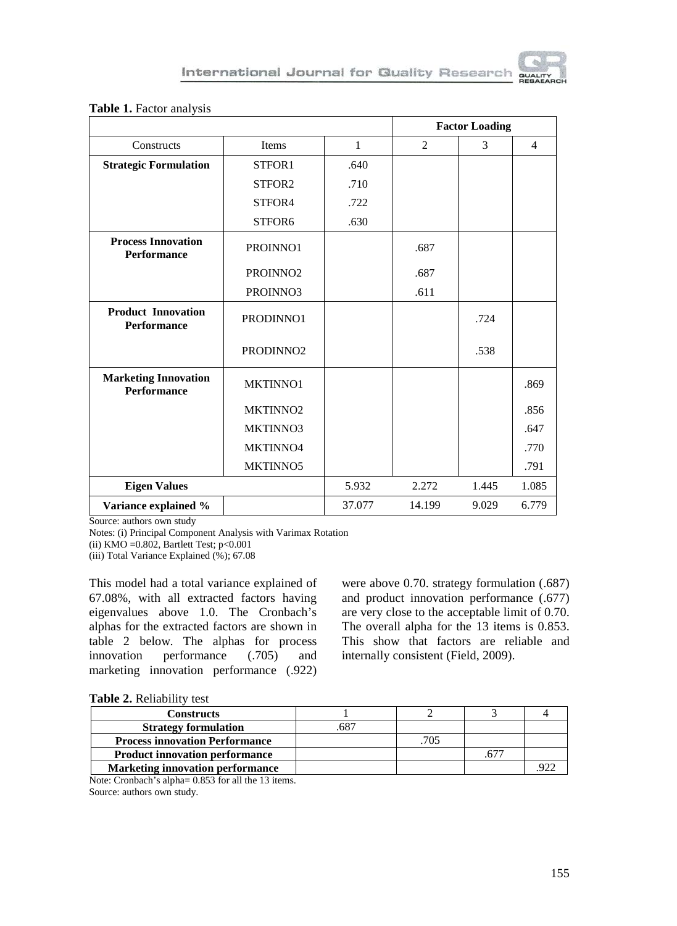

|                                                   |                       |              | <b>Factor Loading</b> |       |                |
|---------------------------------------------------|-----------------------|--------------|-----------------------|-------|----------------|
| Constructs                                        | Items                 | $\mathbf{1}$ | 2                     | 3     | $\overline{4}$ |
| <b>Strategic Formulation</b>                      | STFOR1                | .640         |                       |       |                |
|                                                   | STFOR <sub>2</sub>    | .710         |                       |       |                |
|                                                   | STFOR4                | .722         |                       |       |                |
|                                                   | STFOR6                | .630         |                       |       |                |
| <b>Process Innovation</b><br><b>Performance</b>   | PROINNO1              |              | .687                  |       |                |
|                                                   | PROINNO <sub>2</sub>  |              | .687                  |       |                |
|                                                   | PROINNO3              |              | .611                  |       |                |
| <b>Product Innovation</b><br><b>Performance</b>   | PRODINNO1             |              |                       | .724  |                |
|                                                   | PRODINNO <sub>2</sub> |              |                       | .538  |                |
| <b>Marketing Innovation</b><br><b>Performance</b> | MKTINNO1              |              |                       |       | .869           |
|                                                   | MKTINNO <sub>2</sub>  |              |                       |       | .856           |
|                                                   | MKTINNO3              |              |                       |       | .647           |
|                                                   | MKTINNO4              |              |                       |       | .770           |
|                                                   | MKTINNO5              |              |                       |       | .791           |
| <b>Eigen Values</b>                               |                       |              | 2.272                 | 1.445 | 1.085          |
| Variance explained %                              |                       | 37.077       | 14.199                | 9.029 | 6.779          |

#### **Table 1.** Factor analysis

Source: authors own study

Notes: (i) Principal Component Analysis with Varimax Rotation

(ii) KMO = $0.802$ , Bartlett Test; p< $0.001$ 

(iii) Total Variance Explained (%); 67.08

This model had a total variance explained of 67.08%, with all extracted factors having eigenvalues above 1.0. The Cronbach's alphas for the extracted factors are shown in table 2 below. The alphas for process<br>innovation performance (.705) and performance  $(.705)$  and marketing innovation performance (.922) were above 0.70. strategy formulation (.687) and product innovation performance (.677) are very close to the acceptable limit of 0.70. The overall alpha for the 13 items is 0.853. This show that factors are reliable and internally consistent (Field, 2009).

#### **Table 2.** Reliability test

| <b>Constructs</b>                       |     |  |  |
|-----------------------------------------|-----|--|--|
| <b>Strategy formulation</b>             | 687 |  |  |
| <b>Process innovation Performance</b>   |     |  |  |
| <b>Product innovation performance</b>   |     |  |  |
| <b>Marketing innovation performance</b> |     |  |  |

Note: Cronbach's alpha= 0.853 for all the 13 items. Source: authors own study.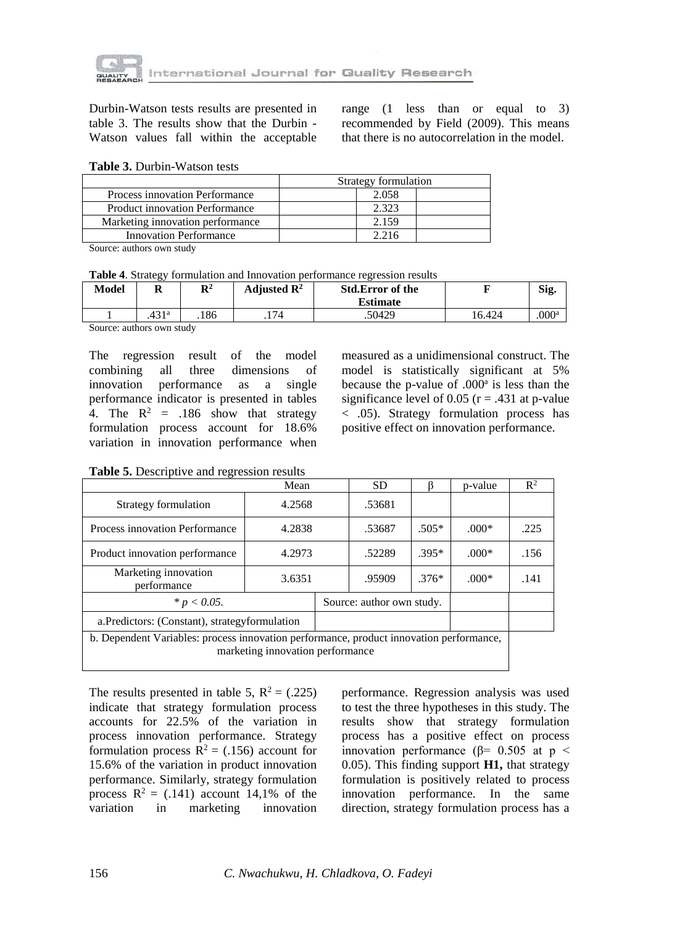

Durbin-Watson tests results are presented in table 3. The results show that the Durbin - Watson values fall within the acceptable range (1 less than or equal to 3) recommended by Field (2009). This means that there is no autocorrelation in the model.

#### **Table 3.** Durbin-Watson tests

|                                       | Strategy formulation |  |  |  |
|---------------------------------------|----------------------|--|--|--|
| Process innovation Performance        | 2.058                |  |  |  |
| <b>Product innovation Performance</b> | 2.323                |  |  |  |
| Marketing innovation performance      | 2.159                |  |  |  |
| Innovation Performance                | 2.216                |  |  |  |

Source: authors own study

| Table 4. Strategy formulation and Innovation performance regression results |  |
|-----------------------------------------------------------------------------|--|
|-----------------------------------------------------------------------------|--|

| Model | м            | ${\bf D}^2$<br>ĸ | Adiusted $\mathbf{R}^2$ | <b>Std.Error of the</b><br><b>Estimate</b> |        | Sig.              |
|-------|--------------|------------------|-------------------------|--------------------------------------------|--------|-------------------|
|       | 121a<br>.491 | .186             | .174                    | .50429                                     | 16.424 | .000 <sup>a</sup> |

Source: authors own study

The regression result of the model combining all three dimensions of innovation performance as a single performance indicator is presented in tables 4. The  $R^2$  = .186 show that strategy formulation process account for 18.6% variation in innovation performance when measured as a unidimensional construct. The model is statistically significant at 5% because the p-value of  $.000<sup>a</sup>$  is less than the significance level of 0.05 ( $r = .431$  at p-value < .05). Strategy formulation process has positive effect on innovation performance.

**Table 5.** Descriptive and regression results

|                                                                                                                             | Mean   |                           | SD.    |         | p-value | $R^2$ |
|-----------------------------------------------------------------------------------------------------------------------------|--------|---------------------------|--------|---------|---------|-------|
| Strategy formulation                                                                                                        | 4.2568 |                           | .53681 |         |         |       |
| Process innovation Performance                                                                                              | 4.2838 |                           | .53687 | $.505*$ | $.000*$ | .225  |
| Product innovation performance                                                                                              | 4.2973 |                           | .52289 | $.395*$ | $.000*$ | .156  |
| Marketing innovation<br>performance                                                                                         | 3.6351 |                           | .95909 | $.376*$ | $.000*$ | .141  |
| * $p < 0.05$ .                                                                                                              |        | Source: author own study. |        |         |         |       |
| a. Predictors: (Constant), strategy formulation                                                                             |        |                           |        |         |         |       |
| b. Dependent Variables: process innovation performance, product innovation performance,<br>marketing innovation performance |        |                           |        |         |         |       |

The results presented in table 5,  $R^2 = (.225)$ indicate that strategy formulation process accounts for 22.5% of the variation in process innovation performance. Strategy formulation process  $R^2 = (.156)$  account for 15.6% of the variation in product innovation performance. Similarly, strategy formulation process  $R^2 = (.141)$  account 14,1% of the variation in marketing innovation marketing

performance. Regression analysis was used to test the three hypotheses in this study. The results show that strategy formulation process has a positive effect on process innovation performance ( $β = 0.505$  at p < 0.05). This finding support **H1,** that strategy formulation is positively related to process innovation performance. In the same direction, strategy formulation process has a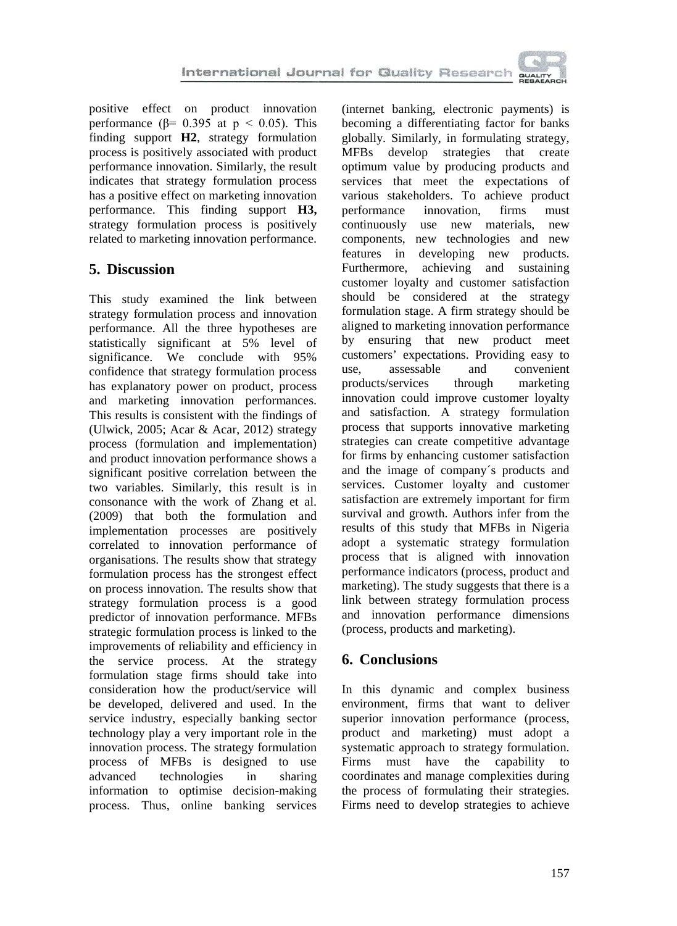positive effect on product innovation performance ( $\beta$ = 0.395 at p < 0.05). This finding support **H2**, strategy formulation process is positively associated with product performance innovation. Similarly, the result indicates that strategy formulation process has a positive effect on marketing innovation performance. This finding support **H3,**  strategy formulation process is positively related to marketing innovation performance.

# **5. Discussion**

This study examined the link between strategy formulation process and innovation performance. All the three hypotheses are statistically significant at 5% level of significance. We conclude with 95% confidence that strategy formulation process has explanatory power on product, process and marketing innovation performances. This results is consistent with the findings of (Ulwick, 2005; Acar & Acar, 2012) strategy process (formulation and implementation) and product innovation performance shows a significant positive correlation between the two variables. Similarly, this result is in consonance with the work of Zhang et al. (2009) that both the formulation and implementation processes are positively correlated to innovation performance of organisations. The results show that strategy formulation process has the strongest effect on process innovation. The results show that strategy formulation process is a good predictor of innovation performance. MFBs strategic formulation process is linked to the improvements of reliability and efficiency in the service process. At the strategy formulation stage firms should take into consideration how the product/service will be developed, delivered and used. In the service industry, especially banking sector technology play a very important role in the innovation process. The strategy formulation process of MFBs is designed to use advanced technologies in sharing information to optimise decision-making process. Thus, online banking services (internet banking, electronic payments) is becoming a differentiating factor for banks globally. Similarly, in formulating strategy, MFBs develop strategies that create optimum value by producing products and services that meet the expectations of various stakeholders. To achieve product<br>performance innovation. firms must performance continuously use new materials, new components, new technologies and new<br>features in developing new products. developing new products. Furthermore, achieving and sustaining customer loyalty and customer satisfaction should be considered at the strategy formulation stage. A firm strategy should be aligned to marketing innovation performance by ensuring that new product meet customers' expectations. Providing easy to use, assessable and convenient products/services through marketing innovation could improve customer loyalty and satisfaction. A strategy formulation process that supports innovative marketing strategies can create competitive advantage for firms by enhancing customer satisfaction and the image of company´s products and services. Customer loyalty and customer satisfaction are extremely important for firm survival and growth. Authors infer from the results of this study that MFBs in Nigeria adopt a systematic strategy formulation process that is aligned with innovation performance indicators (process, product and marketing). The study suggests that there is a link between strategy formulation process and innovation performance dimensions (process, products and marketing).

# **6. Conclusions**

In this dynamic and complex business environment, firms that want to deliver superior innovation performance (process, product and marketing) must adopt a systematic approach to strategy formulation. Firms must have the capability to coordinates and manage complexities during the process of formulating their strategies. Firms need to develop strategies to achieve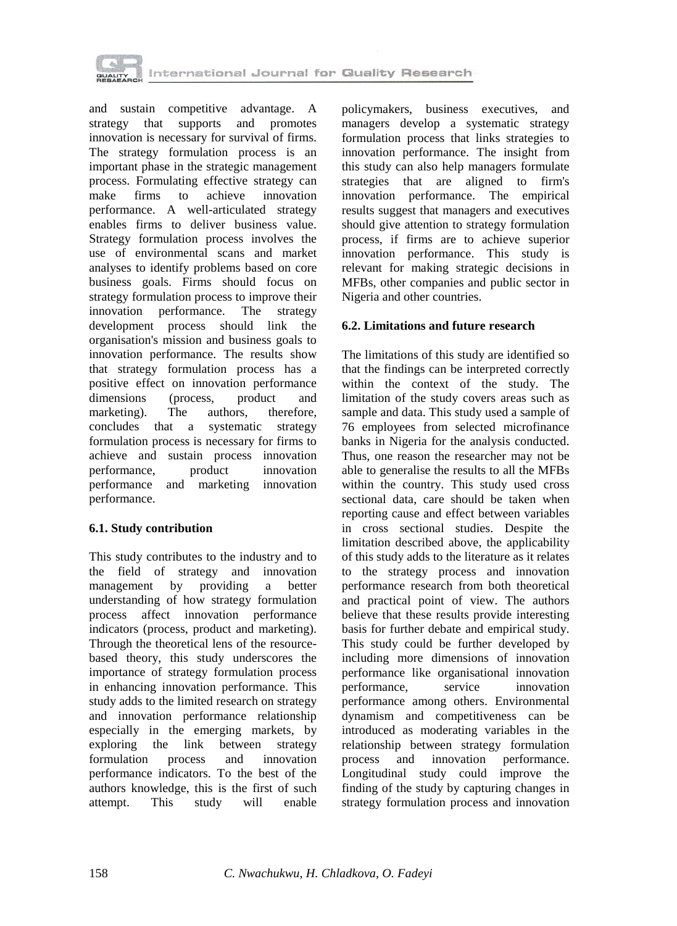

and sustain competitive advantage. A strategy that supports and promotes innovation is necessary for survival of firms. The strategy formulation process is an important phase in the strategic management process. Formulating effective strategy can<br>make firms to achieve innovation make firms to achieve innovation performance. A well-articulated strategy enables firms to deliver business value. Strategy formulation process involves the use of environmental scans and market analyses to identify problems based on core business goals. Firms should focus on strategy formulation process to improve their innovation performance. The strategy development process should link the organisation's mission and business goals to innovation performance. The results show that strategy formulation process has a positive effect on innovation performance<br>dimensions (process, product and dimensions (process, product and<br>marketing). The authors, therefore, marketing). The authors, therefore, concludes that a systematic strategy formulation process is necessary for firms to achieve and sustain process innovation performance, product innovation performance and marketing innovation performance.

### **6.1. Study contribution**

This study contributes to the industry and to the field of strategy and innovation management by providing a better understanding of how strategy formulation process affect innovation performance indicators (process, product and marketing). Through the theoretical lens of the resourcebased theory, this study underscores the importance of strategy formulation process in enhancing innovation performance. This study adds to the limited research on strategy and innovation performance relationship especially in the emerging markets, by exploring the link between strategy formulation process and innovation performance indicators. To the best of the authors knowledge, this is the first of such attempt. This study will enable policymakers, business executives, and managers develop a systematic strategy formulation process that links strategies to innovation performance. The insight from this study can also help managers formulate strategies that are aligned to firm's innovation performance. The empirical results suggest that managers and executives should give attention to strategy formulation process, if firms are to achieve superior innovation performance. This study is relevant for making strategic decisions in MFBs, other companies and public sector in Nigeria and other countries.

## **6.2. Limitations and future research**

The limitations of this study are identified so that the findings can be interpreted correctly within the context of the study. The limitation of the study covers areas such as sample and data. This study used a sample of 76 employees from selected microfinance banks in Nigeria for the analysis conducted. Thus, one reason the researcher may not be able to generalise the results to all the MFBs within the country. This study used cross sectional data, care should be taken when reporting cause and effect between variables in cross sectional studies. Despite the limitation described above, the applicability of this study adds to the literature as it relates to the strategy process and innovation performance research from both theoretical and practical point of view. The authors believe that these results provide interesting basis for further debate and empirical study. This study could be further developed by including more dimensions of innovation performance like organisational innovation performance, service innovation performance among others. Environmental dynamism and competitiveness can be introduced as moderating variables in the relationship between strategy formulation process and innovation performance. Longitudinal study could improve the finding of the study by capturing changes in strategy formulation process and innovation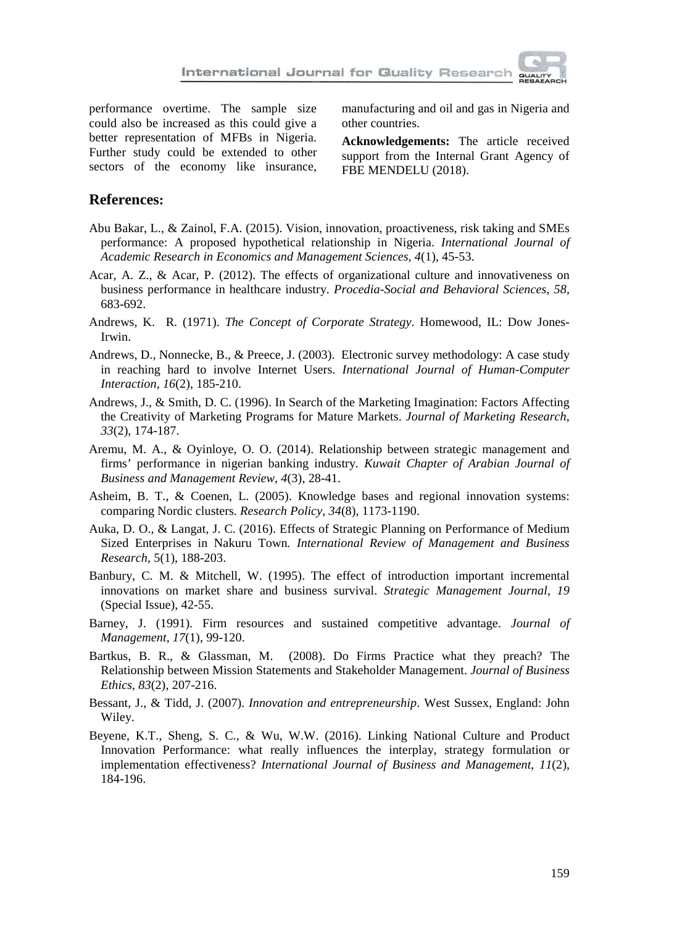performance overtime. The sample size could also be increased as this could give a better representation of MFBs in Nigeria. Further study could be extended to other sectors of the economy like insurance,

manufacturing and oil and gas in Nigeria and other countries.

**Acknowledgements:** The article received support from the Internal Grant Agency of FBE MENDELU (2018).

## **References:**

- Abu Bakar, L., & Zainol, F.A. (2015). Vision, innovation, proactiveness, risk taking and SMEs performance: A proposed hypothetical relationship in Nigeria. *International Journal of Academic Research in Economics and Management Sciences*, *4*(1), 45-53.
- Acar, A. Z., & Acar, P. (2012). The effects of organizational culture and innovativeness on business performance in healthcare industry. *Procedia-Social and Behavioral Sciences*, *58*, 683-692.
- Andrews, K. R. (1971). *[The Concept of Corporate Strategy](http://www.amazon.com/Concept-Corporate-Strategy-Kenneth-Andrews/dp/0870949837)*. Homewood, IL: Dow Jones-Irwin.
- Andrews, D., Nonnecke, B., & Preece, J. (2003). Electronic survey methodology: A case study in reaching hard to involve Internet Users. *International Journal of Human-Computer Interaction*, *16*(2), 185-210.
- Andrews, J., & Smith, D. C. (1996). In Search of the Marketing Imagination: Factors Affecting the Creativity of Marketing Programs for Mature Markets. *Journal of Marketing Research*, *33*(2), 174-187.
- Aremu, M. A., & Oyinloye, O. O. (2014). Relationship between strategic management and firms' performance in nigerian banking industry. *Kuwait Chapter of Arabian Journal of Business and Management Review*, *4*(3), 28-41.
- Asheim, B. T., & Coenen, L. (2005). Knowledge bases and regional innovation systems: comparing Nordic clusters. *Research Policy*, *34*(8), 1173-1190.
- Auka, D. O., & Langat, J. C. (2016). Effects of Strategic Planning on Performance of Medium Sized Enterprises in Nakuru Town*. International Review of Management and Business Research*, 5(1), 188-203.
- Banbury, C. M. & Mitchell, W. (1995). The effect of introduction important incremental innovations on market share and business survival. *Strategic Management Journal*, *19* (Special Issue), 42-55.
- Barney, J. (1991). Firm resources and sustained competitive advantage. *Journal of Management*, *17*(1), 99-120.
- Bartkus, B. R., & Glassman, M. (2008). Do Firms Practice what they preach? The Relationship between Mission Statements and Stakeholder Management. *Journal of Business Ethics*, *83*(2), 207-216.
- Bessant, J., & Tidd, J. (2007). *Innovation and entrepreneurship*. West Sussex, England: John Wiley.
- Beyene, K.T., Sheng, S. C., & Wu, W.W. (2016). Linking National Culture and Product Innovation Performance: what really influences the interplay, strategy formulation or implementation effectiveness? *International Journal of Business and Management*, *11*(2), 184-196.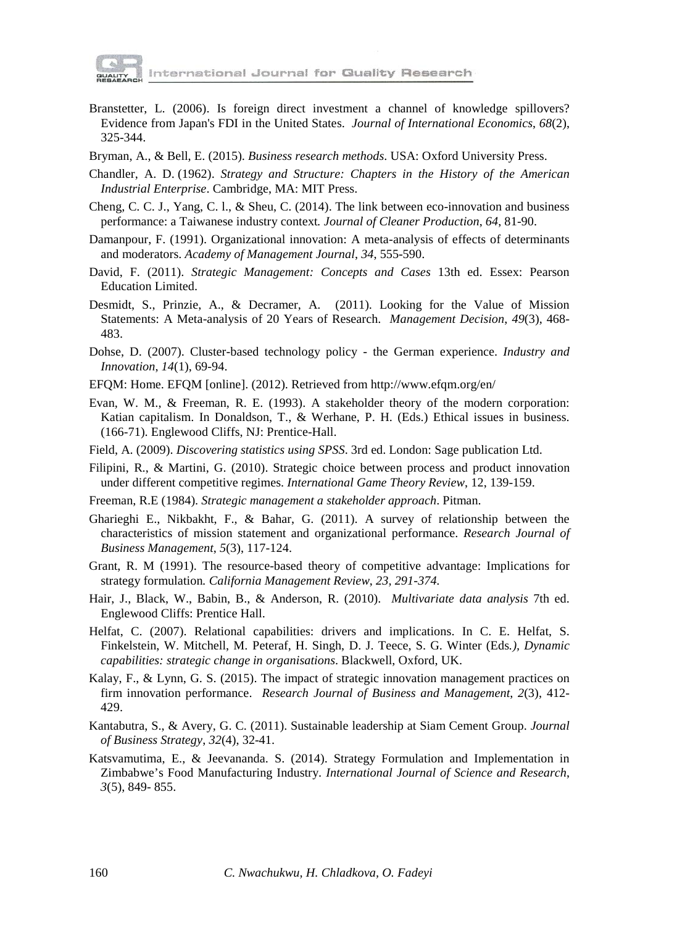

International Journal for Quality Research

- Branstetter, L. (2006). Is foreign direct investment a channel of knowledge spillovers? Evidence from Japan's FDI in the United States. *Journal of International Economics*, *68*(2), 325-344.
- Bryman, A., & Bell, E. (2015). *Business research methods*. USA: Oxford University Press.
- Chandler, A. D. (1962). *[Strategy and Structure: Chapters in the History of the American](http://www.amazon.com/Strategy-Structure-Chapters-Industrial-Enterprise/dp/158798198X)  [Industrial Enterprise](http://www.amazon.com/Strategy-Structure-Chapters-Industrial-Enterprise/dp/158798198X)*. Cambridge, MA: MIT Press.
- Cheng, C. C. J., Yang, C. l., & Sheu, C. (2014). The link between eco-innovation and business performance: a Taiwanese industry context*. Journal of Cleaner Production*, *64*, 81-90.
- Damanpour, F. (1991). Organizational innovation: A meta-analysis of effects of determinants and moderators. *Academy of Management Journal*, *34*, 555-590.
- David, F. (2011). *Strategic Management: Concepts and Cases* 13th ed. Essex: Pearson Education Limited.
- Desmidt, S., Prinzie, A., & Decramer, A. (2011). Looking for the Value of Mission Statements: A Meta-analysis of 20 Years of Research. *Management Decision*, *49*(3), 468- 483.
- Dohse, D. (2007). Cluster-based technology policy the German experience. *Industry and Innovation*, *14*(1), 69-94.
- EFQM: Home. EFQM [online]. (2012). Retrieved from http://www.efqm.org/en/
- Evan, W. M., & Freeman, R. E. (1993). A stakeholder theory of the modern corporation: Katian capitalism. In Donaldson, T., & Werhane, P. H. (Eds.) Ethical issues in business. (166-71). Englewood Cliffs, NJ: Prentice-Hall.
- Field, A. (2009). *Discovering statistics using SPSS*. 3rd ed. London: Sage publication Ltd.
- Filipini, R., & Martini, G. (2010). Strategic choice between process and product innovation under different competitive regimes. *International Game Theory Review*, 12, 139-159.
- Freeman, R.E (1984). *Strategic management a stakeholder approach*. Pitman.
- Gharieghi E., Nikbakht, F., & Bahar, G. (2011). A survey of relationship between the characteristics of mission statement and organizational performance. *Research Journal of Business Management*, *5*(3), 117-124.
- Grant, R. M (1991). The resource-based theory of competitive advantage: Implications for strategy formulation*. California Management Review*, *23, 291-374.*
- Hair, J., Black, W., Babin, B., & Anderson, R. (2010). *Multivariate data analysis* 7th ed. Englewood Cliffs: Prentice Hall.
- Helfat, C. (2007). Relational capabilities: drivers and implications. In C. E. Helfat, S. Finkelstein, W. Mitchell, M. Peteraf, H. Singh, D. J. Teece, S. G. Winter (Eds*.), Dynamic capabilities: strategic change in organisations*. Blackwell, Oxford, UK.
- Kalay, F., & Lynn, G. S. (2015). The impact of strategic innovation management practices on firm innovation performance. *Research Journal of Business and Management*, *2*(3), 412- 429.
- Kantabutra, S., & Avery, G. C. (2011). Sustainable leadership at Siam Cement Group. *Journal of Business Strategy*, *32*(4), 32-41.
- Katsvamutima, E., & Jeevananda. S. (2014). Strategy Formulation and Implementation in Zimbabwe's Food Manufacturing Industry. *International Journal of Science and Research*, *3*(5), 849- 855.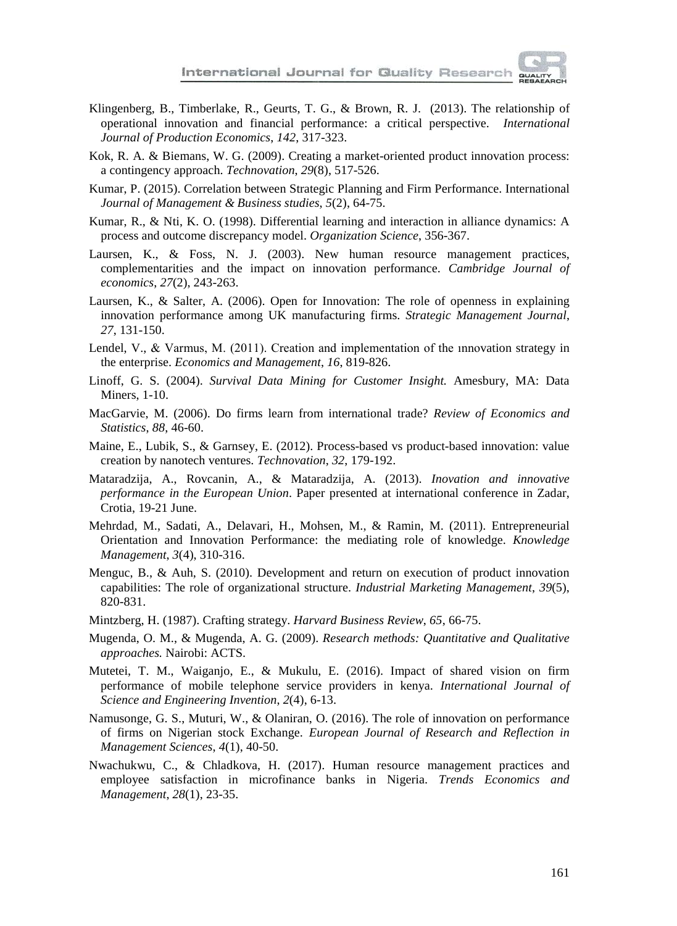

- Klingenberg, B., Timberlake, R., Geurts, T. G., & Brown, R. J. (2013). The relationship of operational innovation and financial performance: a critical perspective. *International Journal of Production Economics*, *142*, 317-323.
- Kok, R. A. & Biemans, W. G. (2009). Creating a market-oriented product innovation process: a contingency approach. *Technovation*, *29*(8), 517-526.
- Kumar, P. (2015). Correlation between Strategic Planning and Firm Performance. International *Journal of Management & Business studies*, *5*(2), 64-75.
- Kumar, R., & Nti, K. O. (1998). Differential learning and interaction in alliance dynamics: A process and outcome discrepancy model. *Organization Science*, 356-367.
- Laursen, K., & Foss, N. J. (2003). New human resource management practices, complementarities and the impact on innovation performance. *Cambridge Journal of economics*, *27*(2), 243-263.
- Laursen, K., & Salter, A. (2006). Open for Innovation: The role of openness in explaining innovation performance among UK manufacturing firms. *Strategic Management Journal*, *27*, 131-150.
- Lendel, V., & Varmus, M. (2011). Creation and implementation of the ınnovation strategy in the enterprise. *Economics and Management*, *16*, 819-826.
- Linoff, G. S. (2004). *Survival Data Mining for Customer Insight.* Amesbury, MA: Data Miners, 1-10.
- MacGarvie, M. (2006). Do firms learn from international trade? *Review of Economics and Statistics*, *88*, 46-60.
- Maine, E., Lubik, S., & Garnsey, E. (2012). Process-based vs product-based innovation: value creation by nanotech ventures. *Technovation*, *32*, 179-192.
- Mataradzija, A., Rovcanin, A., & Mataradzija, A. (2013). *Inovation and innovative performance in the European Union*. Paper presented at international conference in Zadar, Crotia, 19-21 June.
- Mehrdad, M., Sadati, A., Delavari, H., Mohsen, M., & Ramin, M. (2011). Entrepreneurial Orientation and Innovation Performance: the mediating role of knowledge. *Knowledge Management*, *3*(4), 310-316.
- Menguc, B., & Auh, S. (2010). Development and return on execution of product innovation capabilities: The role of organizational structure. *Industrial Marketing Management*, *39*(5), 820-831.
- Mintzberg, H. (1987)[. Crafting strategy.](https://hbr.org/1987/07/crafting-strategy) *Harvard Business Review*, *65*, 66-75.
- Mugenda, O. M., & Mugenda, A. G. (2009). *Research methods: Quantitative and Qualitative approaches.* Nairobi: ACTS.
- Mutetei, T. M., Waiganjo, E., & Mukulu, E. (2016). Impact of shared vision on firm performance of mobile telephone service providers in kenya. *International Journal of Science and Engineering Invention*, *2*(4), 6-13.
- Namusonge, G. S., Muturi, W., & Olaniran, O. (2016). The role of innovation on performance of firms on Nigerian stock Exchange. *European Journal of Research and Reflection in Management Sciences*, *4*(1), 40-50.
- Nwachukwu, C., & Chladkova, H. (2017). Human resource management practices and employee satisfaction in microfinance banks in Nigeria. *Trends Economics and Management*, *28*(1), 23-35.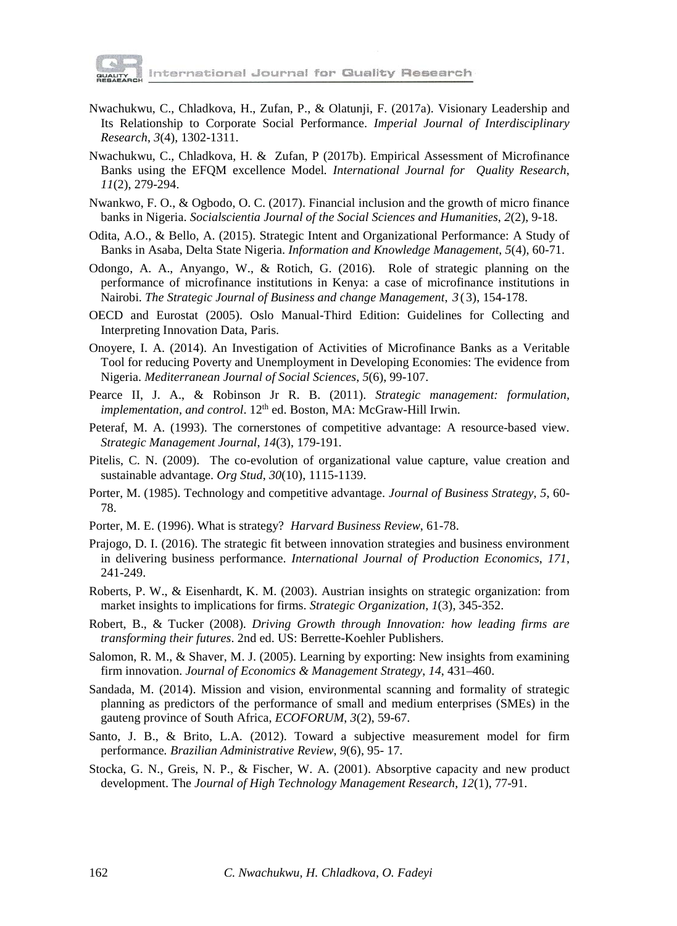

International Journal for Quality Research

- Nwachukwu, C., Chladkova, H., Zufan, P., & Olatunji, F. (2017a). Visionary Leadership and Its Relationship to Corporate Social Performance. *Imperial Journal of Interdisciplinary Research*, *3*(4), 1302-1311.
- Nwachukwu, C., Chladkova, H. & Zufan, P (2017b). Empirical Assessment of Microfinance Banks using the EFQM excellence Model*. International Journal for Quality Research*, *11*(2), 279-294.
- Nwankwo, F. O., & Ogbodo, O. C. (2017). Financial inclusion and the growth of micro finance banks in Nigeria. *Socialscientia Journal of the Social Sciences and Humanities*, *2*(2), 9-18.
- Odita, A.O., & Bello, A. (2015). Strategic Intent and Organizational Performance: A Study of Banks in Asaba, Delta State Nigeria. *Information and Knowledge Management*, *5*(4), 60-71.
- Odongo, A. A., Anyango, W., & Rotich, G. (2016). Role of strategic planning on the performance of microfinance institutions in Kenya: a case of microfinance institutions in Nairobi. *The Strategic Journal of Business and change Management*, *3* ( 3), 154-178.
- OECD and Eurostat (2005). Oslo Manual-Third Edition: Guidelines for Collecting and Interpreting Innovation Data, Paris.
- Onoyere, I. A. (2014). An Investigation of Activities of Microfinance Banks as a Veritable Tool for reducing Poverty and Unemployment in Developing Economies: The evidence from Nigeria. *Mediterranean Journal of Social Sciences*, *5*(6), 99-107.
- Pearce II, J. A., & Robinson Jr R. B. (2011). *Strategic management: formulation, implementation, and control.* 12<sup>th</sup> ed. Boston, MA: McGraw-Hill Irwin.
- Peteraf, M. A. (1993). The cornerstones of competitive advantage: A resource-based view. *Strategic Management Journal*, *14*(3), 179-191*.*
- Pitelis, C. N. (2009). The co-evolution of organizational value capture, value creation and sustainable advantage. *Org Stud*, *30*(10), 1115-1139.
- Porter, M. (1985). Technology and competitive advantage. *Journal of Business Strategy*, *5*, 60- 78.
- Porter, M. E. (1996). [What is strategy?](https://hbr.org/1996/11/what-is-strategy) *Harvard Business Review*, 61-78.
- Prajogo, D. I. (2016). The strategic fit between innovation strategies and business environment in delivering business performance. *International Journal of Production Economics*, *171*, 241-249.
- Roberts, P. W., & Eisenhardt, K. M. (2003). Austrian insights on strategic organization: from market insights to implications for firms. *Strategic Organization*, *1*(3), 345-352.
- Robert, B., & Tucker (2008). *Driving Growth through Innovation: how leading firms are transforming their futures*. 2nd ed. US: Berrette-Koehler Publishers.
- Salomon, R. M., & Shaver, M. J. (2005). Learning by exporting: New insights from examining firm innovation. *Journal of Economics & Management Strategy*, *14*, 431–460.
- Sandada, M. (2014). Mission and vision, environmental scanning and formality of strategic planning as predictors of the performance of small and medium enterprises (SMEs) in the gauteng province of South Africa, *ECOFORUM*, *3*(2), 59-67.
- Santo, J. B., & Brito, L.A. (2012). Toward a subjective measurement model for firm performance*. Brazilian Administrative Review*, *9*(6), 95- 17*.*
- Stocka, G. N., Greis, N. P., & Fischer, W. A. (2001). Absorptive capacity and new product development. The *Journal of High Technology Management Research*, *12*(1), 77-91.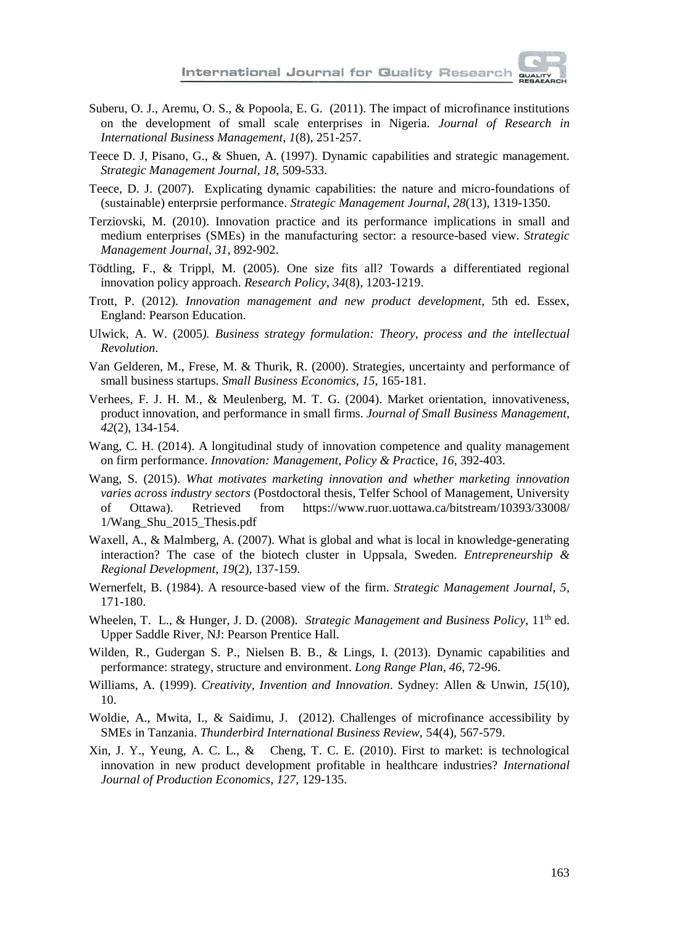

- Suberu, O. J., Aremu, O. S., & Popoola, E. G. (2011). The impact of microfinance institutions on the development of small scale enterprises in Nigeria. *Journal of Research in International Business Management*, *1*(8), 251-257.
- Teece D. J, Pisano, G., & Shuen, A. (1997). Dynamic capabilities and strategic management. *Strategic Management Journal*, *18*, 509-533.
- Teece, D. J. (2007). Explicating dynamic capabilities: the nature and micro-foundations of (sustainable) enterprsie performance. *Strategic Management Journal*, *28*(13), 1319-1350.
- Terziovski, M. (2010). Innovation practice and its performance implications in small and medium enterprises (SMEs) in the manufacturing sector: a resource-based view. *Strategic Management Journal*, *31*, 892-902.
- Tödtling, F., & Trippl, M. (2005). One size fits all? Towards a differentiated regional innovation policy approach. *Research Policy*, *34*(8), 1203-1219.
- Trott, P. (2012). *Innovation management and new product development*, 5th ed. Essex, England: Pearson Education.
- Ulwick, A. W. (2005*). Business strategy formulation: Theory, process and the intellectual Revolution*.
- Van Gelderen, M., Frese, M. & Thurik, R. (2000). Strategies, uncertainty and performance of small business startups. *Small Business Economics*, *15*, 165-181.
- Verhees, F. J. H. M., & Meulenberg, M. T. G. (2004). Market orientation, innovativeness, product innovation, and performance in small firms. *Journal of Small Business Management*, *42*(2), 134-154.
- Wang, C. H. (2014). A longitudinal study of innovation competence and quality management on firm performance. *Innovation: Management, Policy & Pract*ice, *16*, 392-403.
- Wang, S. (2015). *What motivates marketing innovation and whether marketing innovation varies across industry sectors* (Postdoctoral thesis, Telfer School of Management, University of Ottawa). Retrieved from https://www.ruor.uottawa.ca/bitstream/10393/33008/ of Ottawa). Retrieved from https://www.ruor.uottawa.ca/bitstream/10393/33008/ 1/Wang\_Shu\_2015\_Thesis.pdf
- Waxell, A., & Malmberg, A. (2007). What is global and what is local in knowledge-generating interaction? The case of the biotech cluster in Uppsala, Sweden. *Entrepreneurship & Regional Development*, *19*(2), 137-159.
- Wernerfelt, B. (1984). A resource-based view of the firm. *Strategic Management Journal*, *5*, 171-180.
- Wheelen, T. L., & Hunger, J. D. (2008). *Strategic Management and Business Policy*, 11<sup>th</sup> ed. Upper Saddle River, NJ: Pearson Prentice Hall.
- Wilden, R., Gudergan S. P., Nielsen B. B., & Lings, I. (2013). Dynamic capabilities and performance: strategy, structure and environment. *Long Range Plan*, *46*, 72-96.
- Williams, A. (1999). *Creativity, Invention and Innovation*. Sydney: Allen & Unwin, *15*(10), 10.
- Woldie, A., Mwita, I., & Saidimu, J. (2012). Challenges of microfinance accessibility by SMEs in Tanzania. *Thunderbird International Business Review,* 54(4), 567-579.
- Xin, J. Y., Yeung, A. C. L., & Cheng, T. C. E. (2010). First to market: is technological innovation in new product development profitable in healthcare industries? *International Journal of Production Economics*, *127*, 129-135.